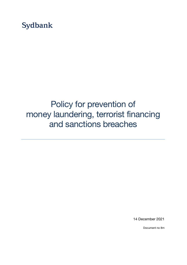**Sydbank** 

# Policy for prevention of money laundering, terrorist financing and sanctions breaches

14 December 2021

Document no 8m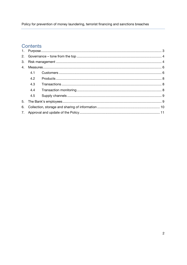Policy for prevention of money laundering, terrorist financing and sanctions breaches

## Contents

| 4. |     |  |  |
|----|-----|--|--|
|    | 4.1 |  |  |
|    | 4.2 |  |  |
|    | 4.3 |  |  |
|    | 4.4 |  |  |
|    | 4.5 |  |  |
|    |     |  |  |
| 6. |     |  |  |
|    |     |  |  |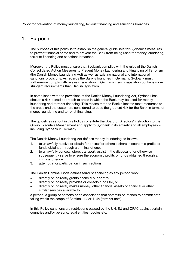Policy for prevention of money laundering, terrorist financing and sanctions breaches

## 1. Purpose

The purpose of this policy is to establish the general guidelines for Sydbank's measures to prevent financial crime and to prevent the Bank from being used for money laundering, terrorist financing and sanctions breaches.

Moreover the Policy must ensure that Sydbank complies with the rules of the Danish Consolidated Act on Measures to Prevent Money Laundering and Financing of Terrorism (the Danish Money Laundering Act) as well as existing national and international sanctions provisions. As regards the Bank's branches in Germany, Sydbank must furthermore comply with relevant legislation in Germany if such legislation contains more stringent requirements than Danish legislation.

In compliance with the provisions of the Danish Money Laundering Act, Sydbank has chosen a risk-based approach to areas in which the Bank may be used for money laundering and terrorist financing. This means that the Bank allocates most resources to the areas and the customers considered to pose the greatest risk for the Bank in terms of money laundering and terrorist financing.

The guidelines set out in this Policy constitute the Board of Directors' instruction to the Group Executive Management and apply to Sydbank in its entirety and all employees – including Sydbank in Germany.

The Danish Money Laundering Act defines money laundering as follows:

- 1. to unlawfully receive or obtain for oneself or others a share in economic profits or funds obtained through a criminal offence.
- 2. to unlawfully conceal, store, transport, assist in the disposal of or otherwise subsequently serve to ensure the economic profits or funds obtained through a criminal offence.
- 3. attempt at or participation in such actions.

The Danish Criminal Code defines terrorist financing as any person who:

- directly or indirectly grants financial support to
- directly or indirectly provides or collects funds for, or
- directly or indirectly makes money, other financial assets or financial or other similar services available to

a person, a group of persons or an association that commits or intends to commit acts falling within the scope of Section 114 or 114a (terrorist acts).

In this Policy sanctions are restrictions passed by the UN, EU and OFAC against certain countries and/or persons, legal entities, bodies etc.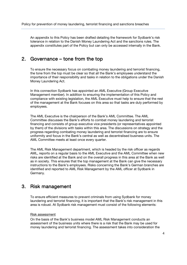An appendix to this Policy has been drafted detailing the framework for Sydbank's risk tolerance in relation to the Danish Money Laundering Act and the sanctions rules. The appendix constitutes part of the Policy but can only be accessed internally in the Bank.

## 2. Governance – tone from the top

To ensure the necessary focus on combating money laundering and terrorist financing, the tone from the top must be clear so that all the Bank's employees understand the importance of their responsibility and tasks in relation to the obligations under the Danish Money Laundering Act.

In this connection Sydbank has appointed an AML Executive (Group Executive Management member). In addition to ensuring the implementation of this Policy and compliance with existing legislation, the AML Executive must help to ensure that the rest of the management at the Bank focuses on this area so that tasks are duly performed by employees.

The AML Executive is the chairperson of the Bank's AML Committee. The AML Committee discusses the Bank's efforts to combat money laundering and terrorist financing and consists of group executive vice presidents (or representatives appointed by them) of the divisions with tasks within this area. The discussions on strategy and the progress regarding combating money laundering and terrorist financing are to ensure uniformity and focus in the Bank's central as well as decentralised business units. The AML Committee meets at least once every quarter.

The AML Risk Management department, which is headed by the risk officer as regards AML, reports on a regular basis to the AML Executive and the AML Committee when new risks are identified at the Bank and on the overall progress in this area at the Bank as well as in society. This ensures that the top management at the Bank can give the necessary instructions to the Bank's employees. Risks concerning the Bank's German branches are identified and reported to AML Risk Management by the AML officer at Sydbank in Germany.

## 3. Risk management

To ensure efficient measures to prevent criminals from using Sydbank for money laundering and terrorist financing, it is important that the Bank's risk management in this area is robust. At Sydbank risk management must consist of the following elements:

#### Risk assessment

On the basis of the Bank's business model AML Risk Management conducts an assessment of the business units where there is a risk that the Bank may be used for money laundering and terrorist financing. The assessment takes into consideration the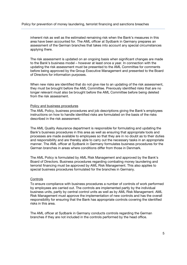inherent risk as well as the estimated remaining risk when the Bank's measures in this area have been accounted for. The AML officer at Sydbank in Germany prepares an assessment of the German branches that takes into account any special circumstances applying there.

The risk assessment is updated on an ongoing basis when significant changes are made to the Bank's business model – however at least once a year. In connection with the updating the risk assessment must be presented to the AML Committee for comments before being approved by the Group Executive Management and presented to the Board of Directors for information purposes.

When new risks are identified that do not give rise to an updating of the risk assessment, they must be brought before the AML Committee. Previously identified risks that are no longer relevant must also be brought before the AML Committee before being deleted from the risk assessment.

#### Policy and business procedures

The AML Policy, business procedures and job descriptions giving the Bank's employees instructions on how to handle identified risks are formulated on the basis of the risks described in the risk assessment.

The AML Quality Assurance department is responsible for formulating and updating the Bank's business procedures in this area as well as ensuring that appropriate tools and processes are made available to employees so that they are in no doubt as to their duties and responsibility and are thereby able to carry out the necessary tasks in an appropriate manner. The AML officer at Sydbank in Germany formulates business procedures for the German branches in areas where conditions differ from those in Denmark.

The AML Policy is formulated by AML Risk Management and approved by the Bank's Board of Directors. Business procedures regarding combating money laundering and terrorist financing must be approved by AML Risk Management. This also applies to special business procedures formulated for the branches in Germany.

#### **Controls**

To ensure compliance with business procedures a number of controls of work performed by employees are carried out. The controls are implemented partly by the individual business units, partly by central control units as well as by AML Risk Management. AML Risk Management must approve the implementation of new controls and has the overall responsibility for ensuring that the Bank has appropriate controls covering the identified risks in this area.

The AML officer at Sydbank in Germany conducts controls regarding the German branches if they are not included in the controls performed by the head office.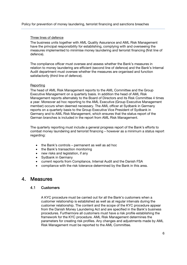Policy for prevention of money laundering, terrorist financing and sanctions breaches

#### Three lines of defence

The business units together with AML Quality Assurance and AML Risk Management have the principal responsibility for establishing, complying with and overseeing the measures implemented to minimise money laundering and terrorist financing (first line of defence).

The compliance officer must oversee and assess whether the Bank's measures in relation to money laundering are efficient (second line of defence) and the Bank's Internal Audit department must oversee whether the measures are organised and function satisfactorily (third line of defence).

#### **Reporting**

The head of AML Risk Management reports to the AML Committee and the Group Executive Management on a quarterly basis. In addition the head of AML Risk Management reports alternately to the Board of Directors and its Risk Committee 4 times a year. Moreover ad hoc reporting to the AML Executive (Group Executive Management member) occurs when deemed necessary. The AML officer at Sydbank in Germany reports on a quarterly basis to the Group Executive Vice President of Sydbank in Germany and to AML Risk Management, which ensures that the status report of the German branches is included in the report from AML Risk Management.

The quarterly reporting must include a general progress report of the Bank's efforts to combat money laundering and terrorist financing – however as a minimum a status report regarding:

- the Bank's controls permanent as well as ad hoc
- the Bank's transaction monitoring
- new risks and legislation, if any
- Sydbank in Germany
- current reports from Compliance, Internal Audit and the Danish FSA
- compliance with the risk tolerance determined by the Bank in this area.

## 4. Measures

## 4.1 Customers

A KYC procedure must be carried out for all the Bank's customers when a customer relationship is established as well as at regular intervals during the customer relationship. The content and the scope of the KYC procedure appear from the Danish Money Laundering Act and are specified in the Bank's business procedures. Furthermore all customers must have a risk profile establishing the framework for the KYC procedure. AML Risk Management determines the parameters for creating risk profiles. Any changes and adjustments made by AML Risk Management must be reported to the AML Committee.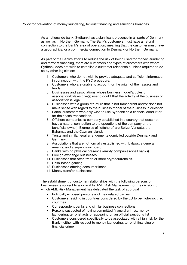As a nationwide bank, Sydbank has a significant presence in all parts of Denmark as well as in Northern Germany. The Bank's customers must have a natural connection to the Bank's area of operation, meaning that the customer must have a geographical or a commercial connection to Denmark or Northern Germany.

As part of the Bank's efforts to reduce the risk of being used for money laundering and terrorist financing, there are customers and types of customers with whom Sydbank does not wish to establish a customer relationship unless required to do so by other legislation:

- 1. Customers who do not wish to provide adequate and sufficient information in connection with the KYC procedure.
- 2. Customers who are unable to account for the origin of their assets and funds.
- 3. Businesses and associations whose business model/articles of association/bylaws give(s) rise to doubt that the activity of the business or association is legal.
- 4. Businesses with a group structure that is not transparent and/or does not make sense with regard to the business model of the business in question.
- 5. Partial customers who only wish to use Sydbank as a financial conduit or for their cash transactions.
- 6. Offshore companies (a company established in a country that does not have a natural connection to the operations of the company or the beneficial owner). Examples of "offshore" are Belize, Vanuatu, the Bahamas and the Cayman Islands.
- 7. Trusts and similar legal arrangements domiciled outside Denmark and Germany.
- 8. Associations that are not formally established with bylaws, a general meeting and a supervisory board.
- 9. Banks with no physical presence (empty companies/shell banks).
- 10. Foreign exchange businesses.
- 11. Businesses that offer, trade or store cryptocurrencies.
- 12. Cash-based gaming.
- 13. Businesses offering consumer loans.
- 14. Money transfer businesses.

The establishment of customer relationships with the following persons or businesses is subject to approval by AML Risk Management or the division to which AML Risk Management has delegated the task of approval:

- Politically exposed persons and their related parties
- Customers residing in countries considered by the EU to be high-risk third countries
- Correspondent banks and similar business connections
- Persons suspected of having committed financial crimes, money laundering, terrorist acts or appearing on an official sanctions list
- Customers considered specifically to be associated with a high risk for the Bank – either with respect to money laundering, terrorist financing or financial crime.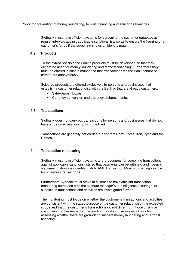Sydbank must have efficient systems for screening the customer database at regular intervals against applicable sanctions lists so as to ensure the freezing of a customer's funds if the screening shows an identity match.

## 4.2 Products

To the extent possible the Bank's products must be developed so that they cannot be used for money laundering and terrorist financing. Furthermore they must be offered in such a manner so that transactions via the Bank cannot be carried out anonymously.

Selected products are offered exclusively to persons and businesses that establish a customer relationship with the Bank or that are already customers:

- Safe-deposit boxes
- Currency conversion and currency disbursements.

#### 4.3 Transactions

Sydbank does not carry out transactions for persons and businesses that do not have a customer relationship with the Bank.

Transactions are generally not carried out to/from North Korea, Iran, Syria and the Crimea.

### 4.4 Transaction monitoring

Sydbank must have efficient systems and procedures for screening transactions against applicable sanctions lists so that payments can be withheld and frozen if a screening shows an identity match. AML Transaction Monitoring is responsible for screening transactions.

Furthermore Sydbank must strive at all times to have efficient transaction monitoring combined with the account manager's due diligence ensuring that suspicious transactions and activities are investigated further.

The monitoring must focus on whether the customer's transactions and activities are consistent with the stated purpose of the customer relationship, the expected scope and that the customer's transactions do not differ from those of similar customers in other respects. Transaction monitoring serves as a basis for assessing whether there are grounds to suspect money laundering and terrorist financing.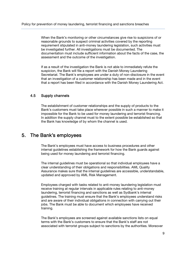When the Bank's monitoring or other circumstances give rise to suspicions of or reasonable grounds to suspect criminal activities covered by the reporting requirement stipulated in anti-money laundering legislation, such activities must be investigated further. All investigations must be documented. The documentation must include sufficient information about the facts of the case, the assessment and the outcome of the investigation.

If as a result of the investigation the Bank is not able to immediately refute the suspicion, the Bank will file a report with the Danish Money Laundering Secretariat. The Bank's employees are under a duty of non-disclosure in the event that an investigation of a customer relationship has been made and in the event that a report has been filed in accordance with the Danish Money Laundering Act.

#### 4.5 Supply channels

The establishment of customer relationships and the supply of products to the Bank's customers must take place wherever possible in such a manner to make it impossible for the Bank to be used for money laundering and terrorist financing. In addition the supply channel must to the extent possible be established so that the Bank has knowledge of by whom the channel is used.

## 5. The Bank's employees

The Bank's employees must have access to business procedures and other internal guidelines establishing the framework for how the Bank guards against being used for money laundering and terrorist financing.

The internal guidelines must be operational so that individual employees have a clear understanding of their obligations and responsibilities. AML Quality Assurance makes sure that the internal guidelines are accessible, understandable, updated and approved by AML Risk Management.

Employees charged with tasks related to anti-money laundering legislation must receive training at regular intervals in applicable rules relating to anti-money laundering, terrorist financing and sanctions as well as Sydbank's internal guidelines. The training must ensure that the Bank's employees understand risks and are aware of their individual obligations in connection with carrying out their jobs. The Bank must be able to document which employees have received training.

The Bank's employees are screened against available sanctions lists on equal terms with the Bank's customers to ensure that the Bank's staff are not associated with terrorist groups subject to sanctions by the authorities. Moreover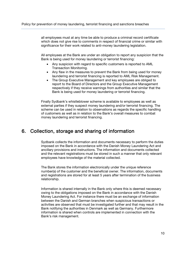all employees must at any time be able to produce a criminal record certificate which does not give rise to comments in respect of financial crime or similar with significance for their work related to anti-money laundering legislation.

All employees at the Bank are under an obligation to report any suspicion that the Bank is being used for money laundering or terrorist financing:

- Any suspicion with regard to specific customers is reported to AML Transaction Monitoring.
- Any flaw in the measures to prevent the Bank from being used for money laundering and terrorist financing is reported to AML Risk Management.
- The Group Executive Management and key employees are obliged to report to the Board of Directors and the Group Executive Management respectively if they receive warnings from authorities and similar that the Bank is being used for money laundering or terrorist financing.

Finally Sydbank's whistleblower scheme is available to employees as well as external parties if they suspect money laundering and/or terrorist financing. The scheme can be used in relation to observations as regards the specific handling of customers as well as in relation to the Bank's overall measures to combat money laundering and terrorist financing.

## 6. Collection, storage and sharing of information

Sydbank collects the information and documents necessary to perform the duties imposed on the Bank in accordance with the Danish Money Laundering Act and ancillary provisions and instructions. The information and documents collected and the relevant registrations must be stored in such a manner that only relevant employees have knowledge of the material collected.

The Bank stores the information electronically under the unique reference number(s) of the customer and the beneficial owner. The information, documents and registrations are stored for at least 5 years after termination of the business relationship.

Information is shared internally in the Bank only where this is deemed necessary owing to the obligations imposed on the Bank in accordance with the Danish Money Laundering Act. For instance there must be an exchange of information between the Danish and German branches when suspicious transactions or activities are observed that must be investigated further and that may result in the Bank notifying the authorities in Denmark as well as Germany. Furthermore information is shared when controls are implemented in connection with the Bank's risk management.